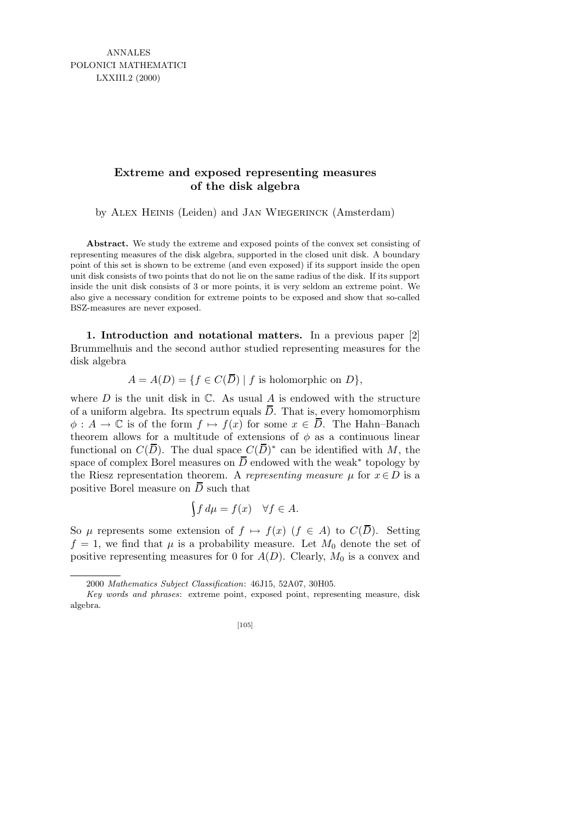ANNALES POLONICI MATHEMATICI LXXIII.2 (2000)

## **Extreme and exposed representing measures of the disk algebra**

by Alex Heinis (Leiden) and Jan Wiegerinck (Amsterdam)

**Abstract.** We study the extreme and exposed points of the convex set consisting of representing measures of the disk algebra, supported in the closed unit disk. A boundary point of this set is shown to be extreme (and even exposed) if its support inside the open unit disk consists of two points that do not lie on the same radius of the disk. If its support inside the unit disk consists of 3 or more points, it is very seldom an extreme point. We also give a necessary condition for extreme points to be exposed and show that so-called BSZ-measures are never exposed.

1. Introduction and notational matters. In a previous paper [2] Brummelhuis and the second author studied representing measures for the disk algebra

$$
A = A(D) = \{ f \in C(\overline{D}) \mid f \text{ is holomorphic on } D \},
$$

where  $D$  is the unit disk in  $\mathbb C$ . As usual  $A$  is endowed with the structure of a uniform algebra. Its spectrum equals  $\overline{D}$ . That is, every homomorphism  $\phi: A \to \mathbb{C}$  is of the form  $f \mapsto f(x)$  for some  $x \in \overline{D}$ . The Hahn–Banach theorem allows for a multitude of extensions of  $\phi$  as a continuous linear functional on  $C(\overline{D})$ . The dual space  $C(\overline{D})^*$  can be identified with M, the space of complex Borel measures on  $\bar{D}$  endowed with the weak<sup>\*</sup> topology by the Riesz representation theorem. A representing measure  $\mu$  for  $x \in D$  is a positive Borel measure on  $\overline{D}$  such that

$$
\int f \, d\mu = f(x) \quad \forall f \in A.
$$

So  $\mu$  represents some extension of  $f \mapsto f(x)$  ( $f \in A$ ) to  $C(\overline{D})$ . Setting  $f = 1$ , we find that  $\mu$  is a probability measure. Let  $M_0$  denote the set of positive representing measures for 0 for  $A(D)$ . Clearly,  $M_0$  is a convex and

<sup>2000</sup> *Mathematics Subject Classification*: 46J15, 52A07, 30H05.

*Key words and phrases*: extreme point, exposed point, representing measure, disk algebra.

<sup>[105]</sup>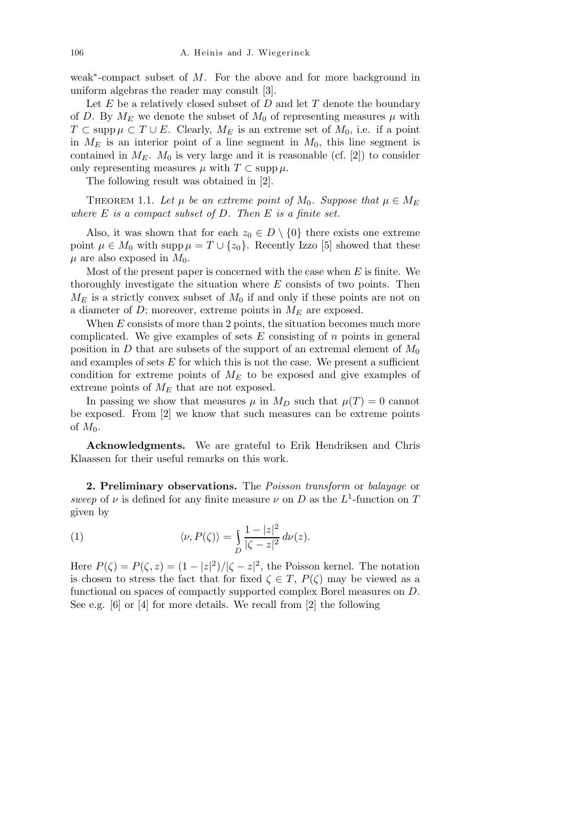weak<sup>∗</sup> -compact subset of M. For the above and for more background in uniform algebras the reader may consult [3].

Let  $E$  be a relatively closed subset of  $D$  and let  $T$  denote the boundary of D. By  $M_E$  we denote the subset of  $M_0$  of representing measures  $\mu$  with  $T \subset \text{supp}\,\mu \subset T \cup E$ . Clearly,  $M_E$  is an extreme set of  $M_0$ , i.e. if a point in  $M_E$  is an interior point of a line segment in  $M_0$ , this line segment is contained in  $M_E$ .  $M_0$  is very large and it is reasonable (cf. [2]) to consider only representing measures  $\mu$  with  $T \subset \text{supp }\mu$ .

The following result was obtained in [2].

THEOREM 1.1. Let  $\mu$  be an extreme point of  $M_0$ . Suppose that  $\mu \in M_E$ where  $E$  is a compact subset of  $D$ . Then  $E$  is a finite set.

Also, it was shown that for each  $z_0 \in D \setminus \{0\}$  there exists one extreme point  $\mu \in M_0$  with supp  $\mu = T \cup \{z_0\}$ . Recently Izzo [5] showed that these  $\mu$  are also exposed in  $M_0$ .

Most of the present paper is concerned with the case when  $E$  is finite. We thoroughly investigate the situation where  $E$  consists of two points. Then  $M_E$  is a strictly convex subset of  $M_0$  if and only if these points are not on a diameter of  $D$ ; moreover, extreme points in  $M_E$  are exposed.

When  $E$  consists of more than 2 points, the situation becomes much more complicated. We give examples of sets  $E$  consisting of  $n$  points in general position in D that are subsets of the support of an extremal element of  $M_0$ and examples of sets  $E$  for which this is not the case. We present a sufficient condition for extreme points of  $M_E$  to be exposed and give examples of extreme points of  $M_E$  that are not exposed.

In passing we show that measures  $\mu$  in  $M_D$  such that  $\mu(T) = 0$  cannot be exposed. From [2] we know that such measures can be extreme points of  $M_0$ .

Acknowledgments. We are grateful to Erik Hendriksen and Chris Klaassen for their useful remarks on this work.

2. Preliminary observations. The Poisson transform or balayage or sweep of  $\nu$  is defined for any finite measure  $\nu$  on D as the  $L^1$ -function on T given by

(1) 
$$
\langle \nu, P(\zeta) \rangle = \int_{D} \frac{1 - |z|^2}{|\zeta - z|^2} d\nu(z).
$$

Here  $P(\zeta) = P(\zeta, z) = (1 - |z|^2)/|\zeta - z|^2$ , the Poisson kernel. The notation is chosen to stress the fact that for fixed  $\zeta \in T$ ,  $P(\zeta)$  may be viewed as a functional on spaces of compactly supported complex Borel measures on D. See e.g. [6] or [4] for more details. We recall from [2] the following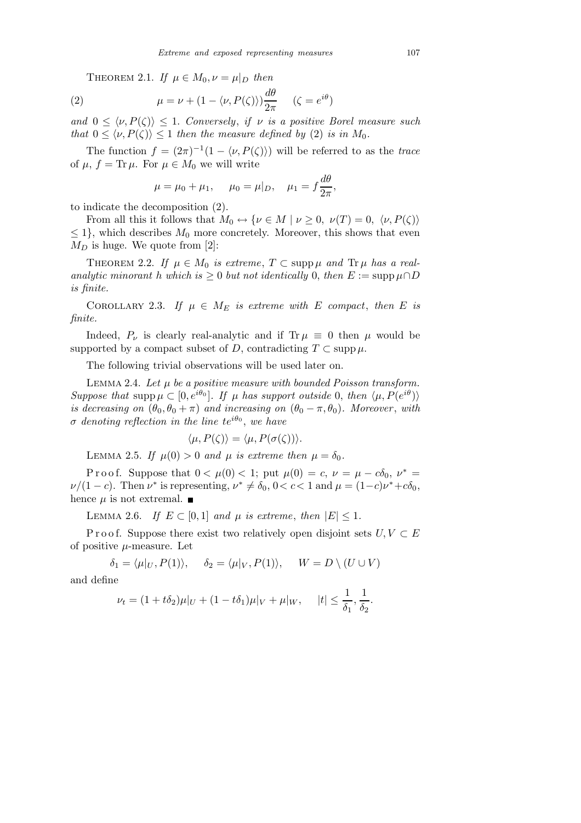THEOREM 2.1. If  $\mu \in M_0$ ,  $\nu = \mu|_D$  then

(2) 
$$
\mu = \nu + (1 - \langle \nu, P(\zeta) \rangle) \frac{d\theta}{2\pi} \quad (\zeta = e^{i\theta})
$$

and  $0 \leq \langle \nu, P(\zeta) \rangle \leq 1$ . Conversely, if  $\nu$  is a positive Borel measure such that  $0 \leq \langle \nu, P(\zeta) \rangle \leq 1$  then the measure defined by (2) is in  $M_0$ .

The function  $f = (2\pi)^{-1}(1 - \langle \nu, P(\zeta) \rangle)$  will be referred to as the trace of  $\mu$ ,  $f = \text{Tr }\mu$ . For  $\mu \in M_0$  we will write

$$
\mu = \mu_0 + \mu_1, \quad \mu_0 = \mu|_D, \quad \mu_1 = f \frac{d\theta}{2\pi},
$$

to indicate the decomposition (2).

From all this it follows that  $M_0 \leftrightarrow \{ \nu \in M \mid \nu \geq 0, \nu(T) = 0, \langle \nu, P(\zeta) \rangle$  $\leq 1$ , which describes  $M_0$  more concretely. Moreover, this shows that even  $M_D$  is huge. We quote from [2]:

THEOREM 2.2. If  $\mu \in M_0$  is extreme,  $T \subset \text{supp}\,\mu$  and  $\text{Tr}\,\mu$  has a realanalytic minorant h which is  $\geq 0$  but not identically 0, then  $E := \text{supp }\mu \cap D$ is finite.

COROLLARY 2.3. If  $\mu \in M_E$  is extreme with E compact, then E is finite.

Indeed,  $P_{\nu}$  is clearly real-analytic and if Tr $\mu \equiv 0$  then  $\mu$  would be supported by a compact subset of D, contradicting  $T \subset \text{supp }\mu$ .

The following trivial observations will be used later on.

LEMMA 2.4. Let  $\mu$  be a positive measure with bounded Poisson transform. Suppose that supp  $\mu \subset [0, e^{i\theta_0}]$ . If  $\mu$  has support outside 0, then  $\langle \mu, P(e^{i\theta}) \rangle$ is decreasing on  $(\theta_0, \theta_0 + \pi)$  and increasing on  $(\theta_0 - \pi, \theta_0)$ . Moreover, with  $\sigma$  denoting reflection in the line te<sup>i $\theta$ o</sup>, we have

$$
\langle \mu, P(\zeta) \rangle = \langle \mu, P(\sigma(\zeta)) \rangle.
$$

LEMMA 2.5. If  $\mu(0) > 0$  and  $\mu$  is extreme then  $\mu = \delta_0$ .

P r o o f. Suppose that  $0 < \mu(0) < 1$ ; put  $\mu(0) = c$ ,  $\nu = \mu - c\delta_0$ ,  $\nu^* =$  $\nu/(1-c)$ . Then  $\nu^*$  is representing,  $\nu^* \neq \delta_0$ ,  $0 < c < 1$  and  $\mu = (1-c)\nu^* + c\delta_0$ , hence  $\mu$  is not extremal.

LEMMA 2.6. If  $E \subset [0,1]$  and  $\mu$  is extreme, then  $|E| \leq 1$ .

P r o o f. Suppose there exist two relatively open disjoint sets  $U, V \subset E$ of positive  $\mu$ -measure. Let

$$
\delta_1 = \langle \mu|_U, P(1) \rangle, \quad \delta_2 = \langle \mu|_V, P(1) \rangle, \quad W = D \setminus (U \cup V)
$$

and define

$$
\nu_t = (1 + t\delta_2)\mu|_U + (1 - t\delta_1)\mu|_V + \mu|_W, \quad |t| \le \frac{1}{\delta_1}, \frac{1}{\delta_2}
$$

.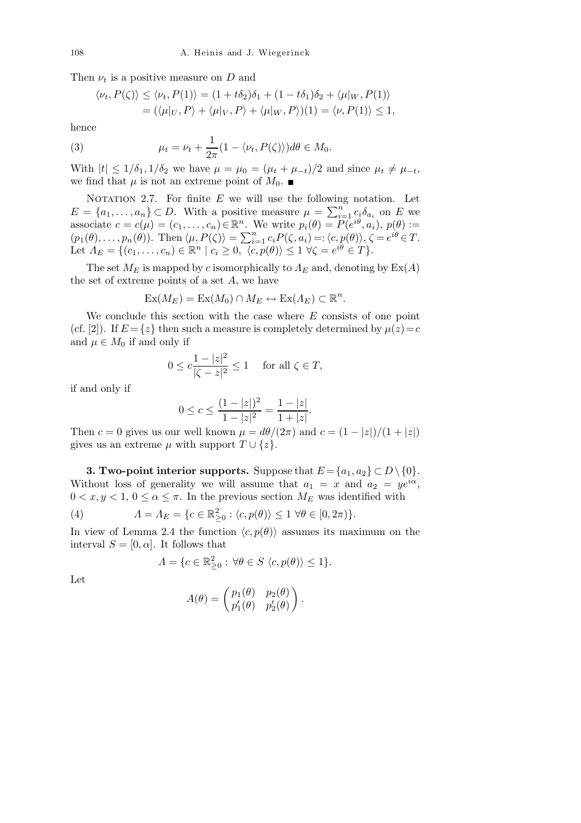Then  $\nu_t$  is a positive measure on D and

$$
\langle \nu_t, P(\zeta) \rangle \le \langle \nu_t, P(1) \rangle = (1 + t\delta_2)\delta_1 + (1 - t\delta_1)\delta_2 + \langle \mu|_W, P(1) \rangle
$$
  
=  $(\langle \mu|_U, P \rangle + \langle \mu|_V, P \rangle + \langle \mu|_W, P \rangle)(1) = \langle \nu, P(1) \rangle \le 1,$ 

hence

 $\langle$ 

(3) 
$$
\mu_t = \nu_t + \frac{1}{2\pi} (1 - \langle \nu_t, P(\zeta) \rangle) d\theta \in M_0.
$$

With  $|t| \leq 1/\delta_1, 1/\delta_2$  we have  $\mu = \mu_0 = (\mu_t + \mu_{-t})/2$  and since  $\mu_t \neq \mu_{-t}$ , we find that  $\mu$  is not an extreme point of  $M_0$ .

NOTATION 2.7. For finite  $E$  we will use the following notation. Let  $E = \{a_1, \ldots, a_n\} \subset D$ . With a positive measure  $\mu = \sum_{i=1}^{n} c_i \delta_{a_i}$  on E we associate  $c = c(\mu) = (c_1, \ldots, c_n) \in \mathbb{R}^n$ . We write  $p_i(\theta) = P(e^{i\theta}, a_i)$ ,  $p(\theta) :=$  $(p_1(\theta), \ldots, p_n(\theta)).$  Then  $\langle \mu, P(\zeta) \rangle = \sum_{i=1}^n c_i P(\zeta, a_i) =: \langle c, p(\theta) \rangle, \zeta = e^{i\theta} \in T.$ Let  $\Lambda_E = \{ (c_1, \ldots, c_n) \in \mathbb{R}^n \mid c_i \geq 0, \langle c, p(\theta) \rangle \leq 1 \; \forall \zeta = e^{i\theta} \in T \}.$ 

The set  $M_E$  is mapped by c isomorphically to  $\Lambda_E$  and, denoting by  $Ex(A)$ the set of extreme points of a set  $A$ , we have

$$
Ex(M_E) = Ex(M_0) \cap M_E \leftrightarrow Ex(\Lambda_E) \subset \mathbb{R}^n.
$$

We conclude this section with the case where  $E$  consists of one point (cf. [2]). If  $E = \{z\}$  then such a measure is completely determined by  $\mu(z) = c$ and  $\mu \in M_0$  if and only if

$$
0 \le c \frac{1 - |z|^2}{|\zeta - z|^2} \le 1 \quad \text{ for all } \zeta \in T,
$$

if and only if

$$
0 \le c \le \frac{(1-|z|)^2}{1-|z|^2} = \frac{1-|z|}{1+|z|}.
$$

Then  $c = 0$  gives us our well known  $\mu = d\theta/(2\pi)$  and  $c = (1 - |z|)/(1 + |z|)$ gives us an extreme  $\mu$  with support  $T \cup \{z\}.$ 

**3. Two-point interior supports.** Suppose that  $E = \{a_1, a_2\} \subset D \setminus \{0\}.$ Without loss of generality we will assume that  $a_1 = x$  and  $a_2 = ye^{i\alpha}$ ,  $0 < x, y < 1, 0 \le \alpha \le \pi$ . In the previous section  $M_E$  was identified with

(4) 
$$
\Lambda = \Lambda_E = \{c \in \mathbb{R}^2_{\geq 0} : \langle c, p(\theta) \rangle \leq 1 \ \forall \theta \in [0, 2\pi) \}.
$$

In view of Lemma 2.4 the function  $\langle c,p(\theta) \rangle$  assumes its maximum on the interval  $S = [0, \alpha]$ . It follows that

$$
\Lambda = \{c \in \mathbb{R}^2_{\geq 0} : \forall \theta \in S \langle c, p(\theta) \rangle \leq 1\}.
$$

Let

$$
A(\theta) = \begin{pmatrix} p_1(\theta) & p_2(\theta) \\ p'_1(\theta) & p'_2(\theta) \end{pmatrix}.
$$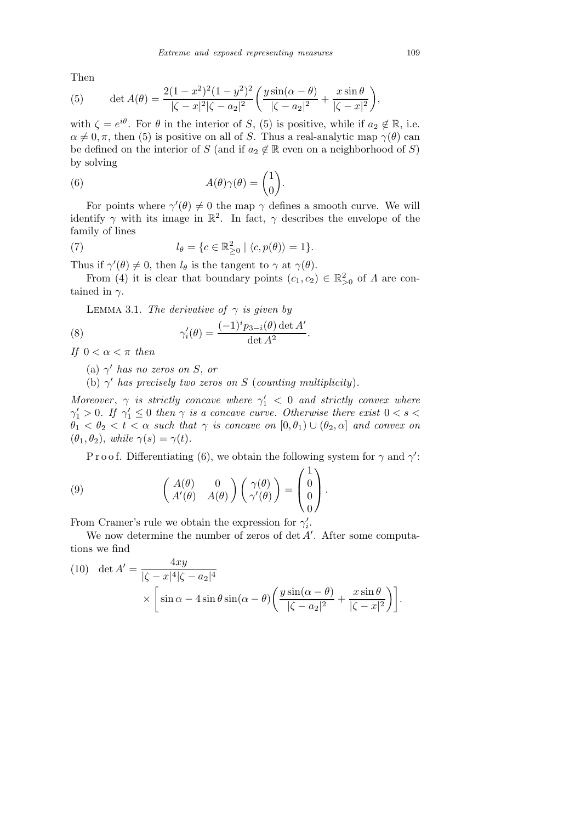Then

(5) 
$$
\det A(\theta) = \frac{2(1-x^2)^2(1-y^2)^2}{|\zeta-x|^2|\zeta-a_2|^2} \left(\frac{y\sin(\alpha-\theta)}{|\zeta-a_2|^2} + \frac{x\sin\theta}{|\zeta-x|^2}\right),
$$

with  $\zeta = e^{i\theta}$ . For  $\theta$  in the interior of S, (5) is positive, while if  $a_2 \notin \mathbb{R}$ , i.e.  $\alpha \neq 0, \pi$ , then (5) is positive on all of S. Thus a real-analytic map  $\gamma(\theta)$  can be defined on the interior of S (and if  $a_2 \notin \mathbb{R}$  even on a neighborhood of S) by solving  $\lambda$ 

(6) 
$$
A(\theta)\gamma(\theta) = \begin{pmatrix} 1 \\ 0 \end{pmatrix}.
$$

For points where  $\gamma'(\theta) \neq 0$  the map  $\gamma$  defines a smooth curve. We will identify  $\gamma$  with its image in  $\mathbb{R}^2$ . In fact,  $\gamma$  describes the envelope of the family of lines

(7) 
$$
l_{\theta} = \{c \in \mathbb{R}^2_{\geq 0} \mid \langle c, p(\theta) \rangle = 1\}.
$$

Thus if  $\gamma'(\theta) \neq 0$ , then  $l_{\theta}$  is the tangent to  $\gamma$  at  $\gamma(\theta)$ .

From (4) it is clear that boundary points  $(c_1, c_2) \in \mathbb{R}^2_{>0}$  of  $\Lambda$  are contained in  $\gamma$ .

LEMMA 3.1. The derivative of  $\gamma$  is given by

(8) 
$$
\gamma_i'(\theta) = \frac{(-1)^i p_{3-i}(\theta) \det A'}{\det A^2}.
$$

If  $0 < \alpha < \pi$  then

(a)  $\gamma'$  has no zeros on S, or

(b)  $\gamma'$  has precisely two zeros on S (counting multiplicity).

Moreover,  $\gamma$  is strictly concave where  $\gamma'_1$  < 0 and strictly convex where  $\gamma'_1 > 0$ . If  $\gamma'_1 \leq 0$  then  $\gamma$  is a concave curve. Otherwise there exist  $0 < s <$  $\theta_1 < \theta_2 < t < \alpha$  such that  $\gamma$  is concave on  $[0, \theta_1) \cup (\theta_2, \alpha]$  and convex on  $(\theta_1, \theta_2)$ , while  $\gamma(s) = \gamma(t)$ .

P r o o f. Differentiating (6), we obtain the following system for  $\gamma$  and  $\gamma'$ :

(9) 
$$
\begin{pmatrix} A(\theta) & 0 \\ A'(\theta) & A(\theta) \end{pmatrix} \begin{pmatrix} \gamma(\theta) \\ \gamma'(\theta) \end{pmatrix} = \begin{pmatrix} 1 \\ 0 \\ 0 \end{pmatrix}.
$$

From Cramer's rule we obtain the expression for  $\gamma'_i$ .

We now determine the number of zeros of det  $A'$ . After some computations we find

(10) 
$$
\det A' = \frac{4xy}{|\zeta - x|^4 |\zeta - a_2|^4} \times \left[ \sin \alpha - 4 \sin \theta \sin(\alpha - \theta) \left( \frac{y \sin(\alpha - \theta)}{|\zeta - a_2|^2} + \frac{x \sin \theta}{|\zeta - x|^2} \right) \right].
$$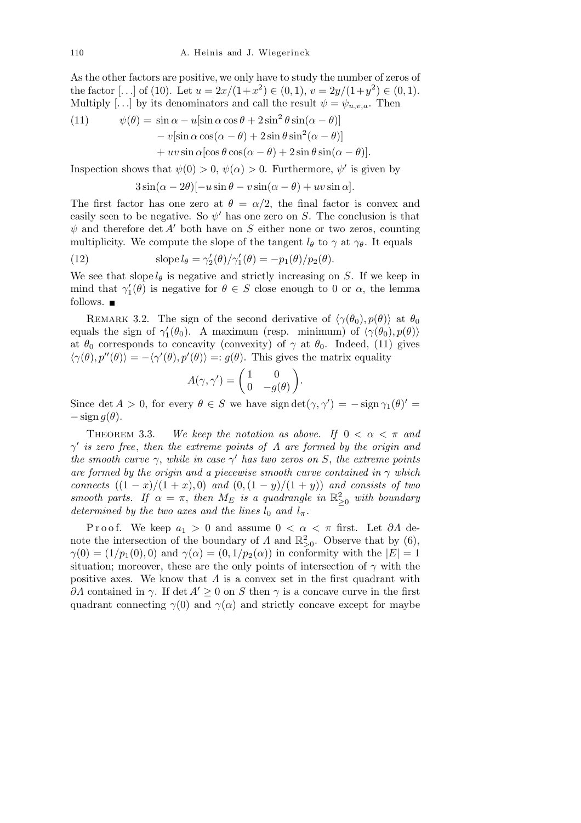As the other factors are positive, we only have to study the number of zeros of the factor [...] of (10). Let  $u = 2x/(1+x^2) \in (0,1)$ ,  $v = 2y/(1+y^2) \in (0,1)$ . Multiply [...] by its denominators and call the result  $\psi = \psi_{u,v,a}$ . Then

(11) 
$$
\psi(\theta) = \sin \alpha - u[\sin \alpha \cos \theta + 2 \sin^2 \theta \sin(\alpha - \theta)] - v[\sin \alpha \cos(\alpha - \theta) + 2 \sin \theta \sin^2(\alpha - \theta)] + uv \sin \alpha[\cos \theta \cos(\alpha - \theta) + 2 \sin \theta \sin(\alpha - \theta)].
$$

Inspection shows that  $\psi(0) > 0$ ,  $\psi(\alpha) > 0$ . Furthermore,  $\psi'$  is given by

 $3\sin(\alpha-2\theta)[-u\sin\theta-v\sin(\alpha-\theta)+uv\sin\alpha].$ 

The first factor has one zero at  $\theta = \alpha/2$ , the final factor is convex and easily seen to be negative. So  $\psi'$  has one zero on S. The conclusion is that  $\psi$  and therefore det A' both have on S either none or two zeros, counting multiplicity. We compute the slope of the tangent  $l_{\theta}$  to  $\gamma$  at  $\gamma_{\theta}$ . It equals

(12) 
$$
\text{slope } l_{\theta} = \gamma_2'(\theta) / \gamma_1'(\theta) = -p_1(\theta) / p_2(\theta).
$$

We see that slope  $l_{\theta}$  is negative and strictly increasing on S. If we keep in mind that  $\gamma_1'(\theta)$  is negative for  $\theta \in S$  close enough to 0 or  $\alpha$ , the lemma follows.  $\blacksquare$ 

REMARK 3.2. The sign of the second derivative of  $\langle \gamma(\theta_0),p(\theta) \rangle$  at  $\theta_0$ equals the sign of  $\gamma_1'(\theta_0)$ . A maximum (resp. minimum) of  $\langle \gamma(\theta_0), p(\theta) \rangle$ at  $\theta_0$  corresponds to concavity (convexity) of  $\gamma$  at  $\theta_0$ . Indeed, (11) gives  $\langle \gamma(\theta), p''(\theta) \rangle = -\langle \gamma'(\theta), p'(\theta) \rangle =: g(\theta)$ . This gives the matrix equality

$$
A(\gamma,\gamma')=\begin{pmatrix} 1 & 0 \\ 0 & -g(\theta) \end{pmatrix}
$$

.

Since det  $A > 0$ , for every  $\theta \in S$  we have sign  $\det(\gamma, \gamma') = -\operatorname{sign} \gamma_1(\theta)' =$  $-\operatorname{sign} q(\theta)$ .

THEOREM 3.3. We keep the notation as above. If  $0 < \alpha < \pi$  and  $\gamma'$  is zero free, then the extreme points of  $\Lambda$  are formed by the origin and the smooth curve  $\gamma$ , while in case  $\gamma'$  has two zeros on S, the extreme points are formed by the origin and a piecewise smooth curve contained in  $\gamma$  which connects  $((1-x)/(1+x),0)$  and  $(0,(1-y)/(1+y))$  and consists of two smooth parts. If  $\alpha = \pi$ , then  $M_E$  is a quadrangle in  $\mathbb{R}^2_{\geq 0}$  with boundary determined by the two axes and the lines  $l_0$  and  $l_{\pi}$ .

P r o o f. We keep  $a_1 > 0$  and assume  $0 < \alpha < \pi$  first. Let  $\partial A$  denote the intersection of the boundary of  $\Lambda$  and  $\mathbb{R}^2_{>0}$ . Observe that by (6),  $\gamma(0) = (1/p_1(0), 0)$  and  $\gamma(\alpha) = (0, 1/p_2(\alpha))$  in conformity with the  $|E| = 1$ situation; moreover, these are the only points of intersection of  $\gamma$  with the positive axes. We know that  $\Lambda$  is a convex set in the first quadrant with  $∂Λ$  contained in γ. If det  $A' ≥ 0$  on S then γ is a concave curve in the first quadrant connecting  $\gamma(0)$  and  $\gamma(\alpha)$  and strictly concave except for maybe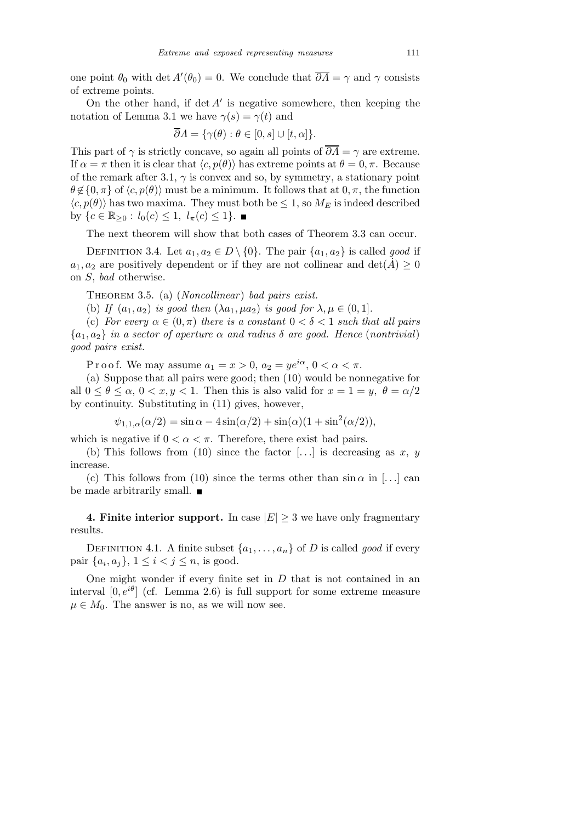one point  $\theta_0$  with det  $A'(\theta_0) = 0$ . We conclude that  $\overline{\partial A} = \gamma$  and  $\gamma$  consists of extreme points.

On the other hand, if  $\det A'$  is negative somewhere, then keeping the notation of Lemma 3.1 we have  $\gamma(s) = \gamma(t)$  and

$$
\overline{\partial} \Lambda = \{ \gamma(\theta) : \theta \in [0, s] \cup [t, \alpha] \}.
$$

This part of  $\gamma$  is strictly concave, so again all points of  $\overline{\partial} \overline{\Lambda} = \gamma$  are extreme. If  $\alpha = \pi$  then it is clear that  $\langle c, p(\theta) \rangle$  has extreme points at  $\theta = 0, \pi$ . Because of the remark after 3.1,  $\gamma$  is convex and so, by symmetry, a stationary point  $\theta \notin \{0, \pi\}$  of  $\langle c, p(\theta) \rangle$  must be a minimum. It follows that at  $0, \pi$ , the function  $\langle c,p(\theta) \rangle$  has two maxima. They must both be  $\leq 1$ , so  $M_E$  is indeed described by  $\{c \in \mathbb{R}_{\geq 0}: l_0(c) \leq 1, l_\pi(c) \leq 1\}$ .

The next theorem will show that both cases of Theorem 3.3 can occur.

DEFINITION 3.4. Let  $a_1, a_2 \in D \setminus \{0\}$ . The pair  $\{a_1, a_2\}$  is called good if  $a_1, a_2$  are positively dependent or if they are not collinear and  $\det(A) \geq 0$ on S, bad otherwise.

THEOREM 3.5. (a) (*Noncollinear*) bad pairs exist.

(b) If  $(a_1, a_2)$  is good then  $(\lambda a_1, \mu a_2)$  is good for  $\lambda, \mu \in (0, 1]$ .

(c) For every  $\alpha \in (0, \pi)$  there is a constant  $0 < \delta < 1$  such that all pairs  ${a_1, a_2}$  in a sector of aperture  $\alpha$  and radius  $\delta$  are good. Hence (nontrivial) good pairs exist.

P r o o f. We may assume  $a_1 = x > 0$ ,  $a_2 = ye^{i\alpha}$ ,  $0 < \alpha < \pi$ .

(a) Suppose that all pairs were good; then (10) would be nonnegative for all  $0 \le \theta \le \alpha$ ,  $0 \le x, y \le 1$ . Then this is also valid for  $x = 1 = y, \ \theta = \alpha/2$ by continuity. Substituting in (11) gives, however,

$$
\psi_{1,1,\alpha}(\alpha/2) = \sin \alpha - 4\sin(\alpha/2) + \sin(\alpha)(1 + \sin^2(\alpha/2)),
$$

which is negative if  $0 < \alpha < \pi$ . Therefore, there exist bad pairs.

(b) This follows from (10) since the factor [...] is decreasing as x, y increase.

(c) This follows from (10) since the terms other than  $\sin \alpha$  in [...] can be made arbitrarily small.

4. Finite interior support. In case  $|E| \geq 3$  we have only fragmentary results.

DEFINITION 4.1. A finite subset  $\{a_1,\ldots,a_n\}$  of D is called good if every pair  $\{a_i, a_j\}, 1 \leq i < j \leq n$ , is good.

One might wonder if every finite set in  $D$  that is not contained in an interval  $[0,e^{i\theta}]$  (cf. Lemma 2.6) is full support for some extreme measure  $\mu \in M_0$ . The answer is no, as we will now see.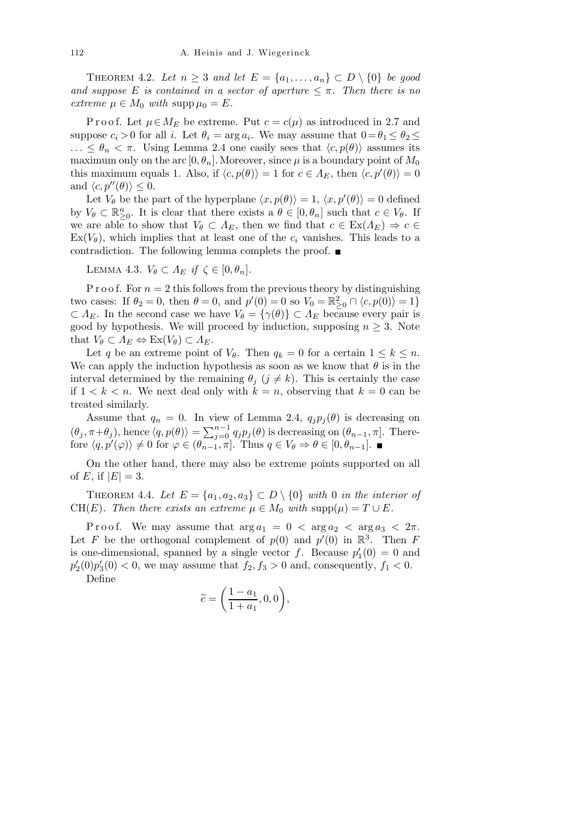THEOREM 4.2. Let  $n \geq 3$  and let  $E = \{a_1, \ldots, a_n\} \subset D \setminus \{0\}$  be good and suppose E is contained in a sector of aperture  $\leq \pi$ . Then there is no extreme  $\mu \in M_0$  with supp  $\mu_0 = E$ .

P r o o f. Let  $\mu \in M_E$  be extreme. Put  $c = c(\mu)$  as introduced in 2.7 and suppose  $c_i > 0$  for all i. Let  $\theta_i = \arg a_i$ . We may assume that  $0 = \theta_1 \le \theta_2 \le$  $\ldots \leq \theta_n < \pi$ . Using Lemma 2.4 one easily sees that  $\langle c, p(\theta) \rangle$  assumes its maximum only on the arc  $[0, \theta_n]$ . Moreover, since  $\mu$  is a boundary point of  $M_0$ this maximum equals 1. Also, if  $\langle c, p(\theta) \rangle = 1$  for  $c \in A_E$ , then  $\langle c, p'(\theta) \rangle = 0$ and  $\langle c, p''(\theta) \rangle \leq 0$ .

Let  $V_{\theta}$  be the part of the hyperplane  $\langle x,p(\theta)\rangle = 1, \langle x,p'(\theta)\rangle = 0$  defined by  $V_{\theta} \subset \mathbb{R}_{\geq 0}^n$ . It is clear that there exists a  $\theta \in [0, \theta_n]$  such that  $c \in V_{\theta}$ . If we are able to show that  $V_{\theta} \subset \Lambda_E$ , then we find that  $c \in \text{Ex}(\Lambda_E) \Rightarrow c \in$  $\text{Ex}(V_{\theta})$ , which implies that at least one of the  $c_i$  vanishes. This leads to a contradiction. The following lemma complets the proof.

LEMMA 4.3.  $V_{\theta} \subset A_E$  if  $\zeta \in [0, \theta_n]$ .

P r o o f. For  $n = 2$  this follows from the previous theory by distinguishing two cases: If  $\theta_2 = 0$ , then  $\theta = 0$ , and  $p'(0) = 0$  so  $V_0 = \mathbb{R}_{\geq 0}^2 \cap \langle c, p(0) \rangle = 1$  $\subset \Lambda_E$ . In the second case we have  $V_{\theta} = {\gamma(\theta)} \subset \Lambda_E$  because every pair is good by hypothesis. We will proceed by induction, supposing  $n \geq 3$ . Note that  $V_{\theta} \subset \Lambda_E \Leftrightarrow \text{Ex}(V_{\theta}) \subset \Lambda_E$ .

Let q be an extreme point of  $V_{\theta}$ . Then  $q_k = 0$  for a certain  $1 \leq k \leq n$ . We can apply the induction hypothesis as soon as we know that  $\theta$  is in the interval determined by the remaining  $\theta_j$  ( $j \neq k$ ). This is certainly the case if  $1 < k < n$ . We next deal only with  $k = n$ , observing that  $k = 0$  can be treated similarly.

Assume that  $q_n = 0$ . In view of Lemma 2.4,  $q_j p_j(\theta)$  is decreasing on  $(\theta_j, \pi + \theta_j)$ , hence  $\langle q, p(\theta) \rangle = \sum_{j=0}^{n-1} q_j p_j(\theta)$  is decreasing on  $(\theta_{n-1}, \pi]$ . Therefore  $\langle q, p'(\varphi) \rangle \neq 0$  for  $\varphi \in (\theta_{n-1}, \pi]$ . Thus  $q \in V_{\theta} \Rightarrow \theta \in [0, \theta_{n-1}]$ .

On the other hand, there may also be extreme points supported on all of E, if  $|E| = 3$ .

THEOREM 4.4. Let  $E = \{a_1, a_2, a_3\} \subset D \setminus \{0\}$  with 0 in the interior of CH(E). Then there exists an extreme  $\mu \in M_0$  with  $\text{supp}(\mu) = T \cup E$ .

P r o o f. We may assume that  $\arg a_1 = 0 < \arg a_2 < \arg a_3 < 2\pi$ . Let F be the orthogonal complement of  $p(0)$  and  $p'(0)$  in  $\mathbb{R}^3$ . Then F is one-dimensional, spanned by a single vector f. Because  $p'_1(0) = 0$  and  $p'_2(0)p'_3(0) < 0$ , we may assume that  $f_2, f_3 > 0$  and, consequently,  $f_1 < 0$ . Define

$$
\widetilde{c} = \left(\frac{1 - a_1}{1 + a_1}, 0, 0\right),
$$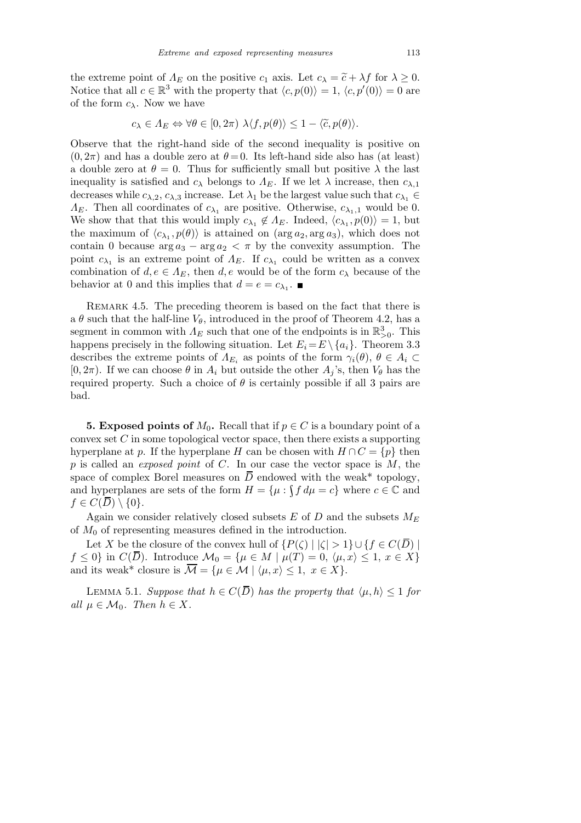the extreme point of  $\Lambda_E$  on the positive  $c_1$  axis. Let  $c_\lambda = \tilde{c} + \lambda f$  for  $\lambda \geq 0$ . Notice that all  $c \in \mathbb{R}^3$  with the property that  $\langle c, p(0) \rangle = 1, \langle c, p'(0) \rangle = 0$  are of the form  $c_{\lambda}$ . Now we have

$$
c_{\lambda} \in \Lambda_E \Leftrightarrow \forall \theta \in [0, 2\pi) \ \lambda \langle f, p(\theta) \rangle \leq 1 - \langle \widetilde{c}, p(\theta) \rangle.
$$

Observe that the right-hand side of the second inequality is positive on  $(0, 2\pi)$  and has a double zero at  $\theta = 0$ . Its left-hand side also has (at least) a double zero at  $\theta = 0$ . Thus for sufficiently small but positive  $\lambda$  the last inequality is satisfied and  $c_{\lambda}$  belongs to  $\Lambda_E$ . If we let  $\lambda$  increase, then  $c_{\lambda,1}$ decreases while  $c_{\lambda,2}, c_{\lambda,3}$  increase. Let  $\lambda_1$  be the largest value such that  $c_{\lambda_1} \in$  $\Lambda_E$ . Then all coordinates of  $c_{\lambda_1}$  are positive. Otherwise,  $c_{\lambda_1,1}$  would be 0. We show that that this would imply  $c_{\lambda_1} \notin A_E$ . Indeed,  $\langle c_{\lambda_1}, p(0) \rangle = 1$ , but the maximum of  $\langle c_{\lambda_1}, p(\theta) \rangle$  is attained on  $(\arg a_2, \arg a_3)$ , which does not contain 0 because  $\arg a_3 - \arg a_2 < \pi$  by the convexity assumption. The point  $c_{\lambda_1}$  is an extreme point of  $\Lambda_E$ . If  $c_{\lambda_1}$  could be written as a convex combination of  $d, e \in A_E$ , then  $d, e$  would be of the form  $c_{\lambda}$  because of the behavior at 0 and this implies that  $d = e = c_{\lambda_1}$ .

Remark 4.5. The preceding theorem is based on the fact that there is a  $\theta$  such that the half-line  $V_{\theta}$ , introduced in the proof of Theorem 4.2, has a segment in common with  $\Lambda_E$  such that one of the endpoints is in  $\mathbb{R}^3_{>0}$ . This happens precisely in the following situation. Let  $E_i = E \setminus \{a_i\}$ . Theorem 3.3 describes the extreme points of  $A_{E_i}$  as points of the form  $\gamma_i(\theta)$ ,  $\theta \in A_i \subset$  $[0, 2\pi)$ . If we can choose  $\theta$  in  $A_i$  but outside the other  $A_i$ 's, then  $V_\theta$  has the required property. Such a choice of  $\theta$  is certainly possible if all 3 pairs are bad.

**5. Exposed points of**  $M_0$ . Recall that if  $p \in C$  is a boundary point of a convex set  $C$  in some topological vector space, then there exists a supporting hyperplane at p. If the hyperplane H can be chosen with  $H \cap C = \{p\}$  then  $p$  is called an *exposed point* of  $C$ . In our case the vector space is  $M$ , the space of complex Borel measures on  $\overline{D}$  endowed with the weak\* topology, and hyperplanes are sets of the form  $H = \{ \mu : \int f d\mu = c \}$  where  $c \in \mathbb{C}$  and  $f \in C(\overline{D}) \setminus \{0\}.$ 

Again we consider relatively closed subsets  $E$  of  $D$  and the subsets  $M_E$ of  $M_0$  of representing measures defined in the introduction.

Let X be the closure of the convex hull of  $\{P(\zeta) \mid |\zeta| > 1\} \cup \{f \in C(\overline{D})\}\$  $f \leq 0$  in  $C(\overline{D})$ . Introduce  $\mathcal{M}_0 = {\mu \in M \mid \mu(T) = 0, \langle \mu, x \rangle \leq 1, x \in X}$ and its weak\* closure is  $\overline{\mathcal{M}} = {\mu \in \mathcal{M} \mid \langle \mu, x \rangle \leq 1, x \in X}.$ 

LEMMA 5.1. Suppose that  $h \in C(\overline{D})$  has the property that  $\langle \mu, h \rangle \leq 1$  for all  $\mu \in \mathcal{M}_0$ . Then  $h \in X$ .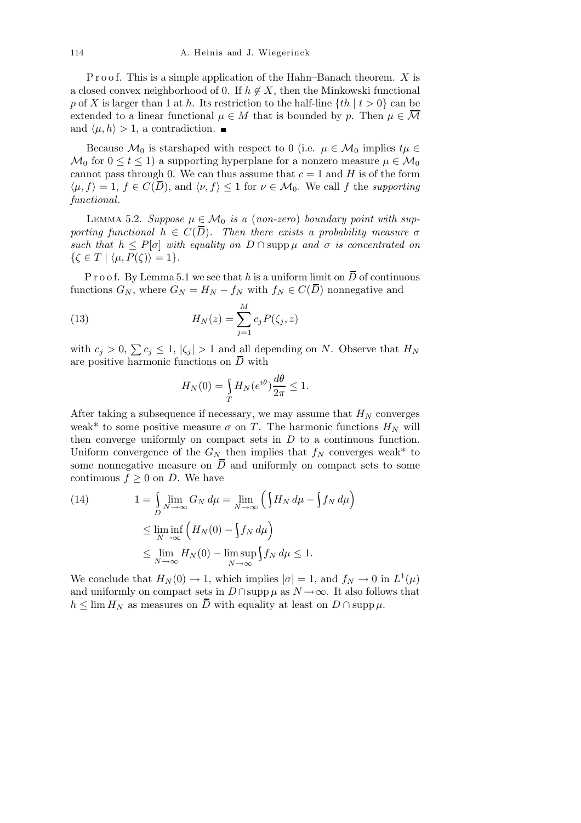P r o o f. This is a simple application of the Hahn–Banach theorem.  $X$  is a closed convex neighborhood of 0. If  $h \notin X$ , then the Minkowski functional p of X is larger than 1 at h. Its restriction to the half-line  $\{th \mid t > 0\}$  can be extended to a linear functional  $\mu \in M$  that is bounded by p. Then  $\mu \in \overline{\mathcal{M}}$ and  $\langle \mu, h \rangle > 1$ , a contradiction.

Because  $\mathcal{M}_0$  is starshaped with respect to 0 (i.e.  $\mu \in \mathcal{M}_0$  implies  $t\mu \in$  $\mathcal{M}_0$  for  $0 \le t \le 1$ ) a supporting hyperplane for a nonzero measure  $\mu \in \mathcal{M}_0$ cannot pass through 0. We can thus assume that  $c = 1$  and H is of the form  $\langle \mu, f \rangle = 1, f \in C(\overline{D})$ , and  $\langle \nu, f \rangle \leq 1$  for  $\nu \in \mathcal{M}_0$ . We call f the supporting functional.

LEMMA 5.2. Suppose  $\mu \in \mathcal{M}_0$  is a (non-zero) boundary point with supporting functional  $h \in C(\overline{D})$ . Then there exists a probability measure  $\sigma$ such that  $h \leq P[\sigma]$  with equality on  $D \cap \text{supp}\,\mu$  and  $\sigma$  is concentrated on  $\{\zeta \in T \mid \langle \mu, P(\zeta) \rangle = 1\}.$ 

P r o o f. By Lemma 5.1 we see that h is a uniform limit on  $\overline{D}$  of continuous functions  $G_N$ , where  $G_N = H_N - f_N$  with  $f_N \in C(\overline{D})$  nonnegative and

(13) 
$$
H_N(z) = \sum_{j=1}^{M} c_j P(\zeta_j, z)
$$

with  $c_j > 0$ ,  $\sum c_j \leq 1$ ,  $|\zeta_j| > 1$  and all depending on N. Observe that  $H_N$ are positive harmonic functions on  $\bar{D}$  with

$$
H_N(0) = \int\limits_T H_N(e^{i\theta}) \frac{d\theta}{2\pi} \le 1.
$$

After taking a subsequence if necessary, we may assume that  $H_N$  converges weak\* to some positive measure  $\sigma$  on T. The harmonic functions  $H_N$  will then converge uniformly on compact sets in  $D$  to a continuous function. Uniform convergence of the  $G_N$  then implies that  $f_N$  converges weak\* to some nonnegative measure on  $\overline{D}$  and uniformly on compact sets to some continuous  $f \geq 0$  on D. We have

(14) 
$$
1 = \int_{D} \lim_{N \to \infty} G_N d\mu = \lim_{N \to \infty} \left( \int H_N d\mu - \int f_N d\mu \right)
$$

$$
\leq \lim_{N \to \infty} \inf \left( H_N(0) - \int f_N d\mu \right)
$$

$$
\leq \lim_{N \to \infty} H_N(0) - \limsup_{N \to \infty} \int f_N d\mu \leq 1.
$$

We conclude that  $H_N(0) \to 1$ , which implies  $|\sigma| = 1$ , and  $f_N \to 0$  in  $L^1(\mu)$ and uniformly on compact sets in  $D \cap \text{supp }\mu$  as  $N \to \infty$ . It also follows that  $h \leq \lim H_N$  as measures on  $\overline{D}$  with equality at least on  $D \cap \text{supp }\mu$ .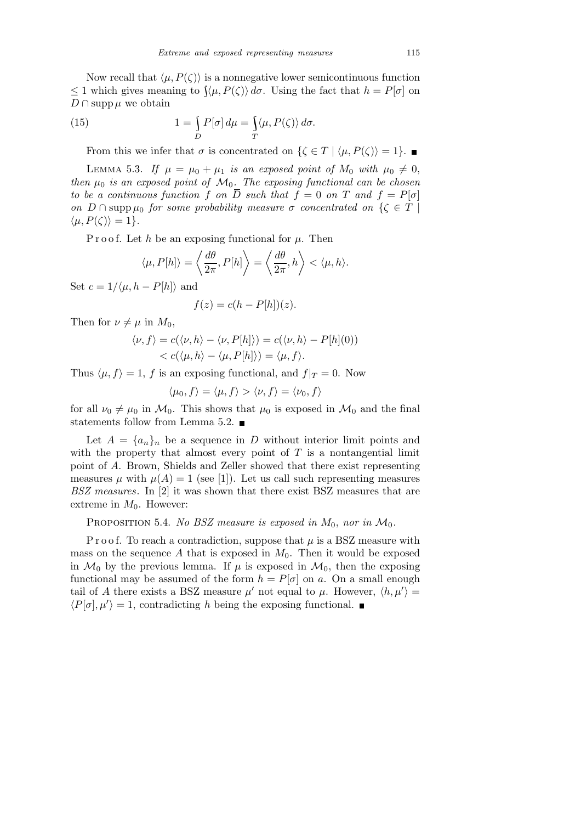Now recall that  $\langle \mu, P(\zeta) \rangle$  is a nonnegative lower semicontinuous function  $\leq 1$  which gives meaning to  $\langle \mu, P(\zeta) \rangle d\sigma$ . Using the fact that  $h = P[\sigma]$  on  $D \cap \text{supp}\,\mu$  we obtain

(15) 
$$
1 = \int_{D} P[\sigma] d\mu = \int_{T} \langle \mu, P(\zeta) \rangle d\sigma.
$$

From this we infer that  $\sigma$  is concentrated on  $\{\zeta \in T \mid \langle \mu, P(\zeta) \rangle = 1\}$ .

LEMMA 5.3. If  $\mu = \mu_0 + \mu_1$  is an exposed point of  $M_0$  with  $\mu_0 \neq 0$ , then  $\mu_0$  is an exposed point of  $\mathcal{M}_0$ . The exposing functional can be chosen to be a continuous function f on D such that  $f = 0$  on T and  $f = P[\sigma]$ on  $D \cap \text{supp}\,\mu_0$  for some probability measure  $\sigma$  concentrated on  $\{\zeta \in T\}$  $\langle \mu, P(\zeta) \rangle = 1$ .

P r o o f. Let h be an exposing functional for  $\mu$ . Then

$$
\langle \mu, P[h] \rangle = \left\langle \frac{d\theta}{2\pi}, P[h] \right\rangle = \left\langle \frac{d\theta}{2\pi}, h \right\rangle < \langle \mu, h \rangle.
$$

Set  $c = 1/\langle \mu, h - P[h] \rangle$  and

$$
f(z) = c(h - P[h])(z).
$$

Then for  $\nu \neq \mu$  in  $M_0$ ,

$$
\langle \nu, f \rangle = c(\langle \nu, h \rangle - \langle \nu, P[h] \rangle) = c(\langle \nu, h \rangle - P[h](0))
$$
  
< 
$$
< c(\langle \mu, h \rangle - \langle \mu, P[h] \rangle) = \langle \mu, f \rangle.
$$

Thus  $\langle \mu, f \rangle = 1$ , f is an exposing functional, and  $f|_T = 0$ . Now

$$
\langle \mu_0, f \rangle = \langle \mu, f \rangle > \langle \nu, f \rangle = \langle \nu_0, f \rangle
$$

for all  $\nu_0 \neq \mu_0$  in  $\mathcal{M}_0$ . This shows that  $\mu_0$  is exposed in  $\mathcal{M}_0$  and the final statements follow from Lemma 5.2.

Let  $A = \{a_n\}_n$  be a sequence in D without interior limit points and with the property that almost every point of  $T$  is a nontangential limit point of A. Brown, Shields and Zeller showed that there exist representing measures  $\mu$  with  $\mu(A) = 1$  (see [1]). Let us call such representing measures BSZ measures. In [2] it was shown that there exist BSZ measures that are extreme in  $M_0$ . However:

PROPOSITION 5.4. No BSZ measure is exposed in  $M_0$ , nor in  $\mathcal{M}_0$ .

P r o o f. To reach a contradiction, suppose that  $\mu$  is a BSZ measure with mass on the sequence A that is exposed in  $M_0$ . Then it would be exposed in  $\mathcal{M}_0$  by the previous lemma. If  $\mu$  is exposed in  $\mathcal{M}_0$ , then the exposing functional may be assumed of the form  $h = P[\sigma]$  on a. On a small enough tail of A there exists a BSZ measure  $\mu'$  not equal to  $\mu$ . However,  $\langle h, \mu' \rangle =$  $\langle P[\sigma], \mu' \rangle = 1$ , contradicting h being the exposing functional.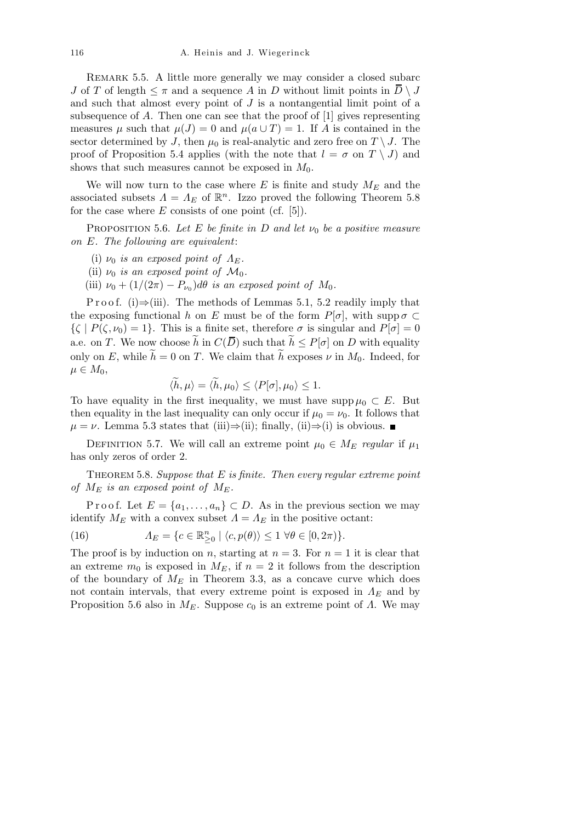REMARK 5.5. A little more generally we may consider a closed subarc J of T of length  $\leq \pi$  and a sequence A in D without limit points in  $\overline{D} \setminus J$ and such that almost every point of  $J$  is a nontangential limit point of a subsequence of A. Then one can see that the proof of [1] gives representing measures  $\mu$  such that  $\mu(J) = 0$  and  $\mu(a \cup T) = 1$ . If A is contained in the sector determined by J, then  $\mu_0$  is real-analytic and zero free on  $T \setminus J$ . The proof of Proposition 5.4 applies (with the note that  $l = \sigma$  on  $T \setminus J$ ) and shows that such measures cannot be exposed in  $M_0$ .

We will now turn to the case where  $E$  is finite and study  $M_E$  and the associated subsets  $\Lambda = \Lambda_E$  of  $\mathbb{R}^n$ . Izzo proved the following Theorem 5.8 for the case where  $E$  consists of one point (cf. [5]).

PROPOSITION 5.6. Let E be finite in D and let  $\nu_0$  be a positive measure on E. The following are equivalent:

- (i)  $\nu_0$  is an exposed point of  $\Lambda_E$ .
- (ii)  $\nu_0$  is an exposed point of  $\mathcal{M}_0$ .
- (iii)  $\nu_0 + (1/(2\pi) P_{\nu_0})d\theta$  is an exposed point of  $M_0$ .

P r o o f. (i)⇒(iii). The methods of Lemmas 5.1, 5.2 readily imply that the exposing functional h on E must be of the form  $P[\sigma]$ , with supp  $\sigma \subset$  $\{\zeta \mid P(\zeta,\nu_0)=1\}.$  This is a finite set, therefore  $\sigma$  is singular and  $P[\sigma]=0$ a.e. on T. We now choose  $\widetilde{h}$  in  $C(\overline{D})$  such that  $\widetilde{h} \leq P[\sigma]$  on D with equality only on E, while  $h = 0$  on T. We claim that h exposes  $\nu$  in  $M_0$ . Indeed, for  $\mu \in M_0$ ,

$$
\langle \widetilde{h}, \mu \rangle = \langle \widetilde{h}, \mu_0 \rangle \le \langle P[\sigma], \mu_0 \rangle \le 1.
$$

To have equality in the first inequality, we must have supp  $\mu_0 \subset E$ . But then equality in the last inequality can only occur if  $\mu_0 = \nu_0$ . It follows that  $\mu = \nu$ . Lemma 5.3 states that (iii)⇒(ii); finally, (ii)⇒(i) is obvious.

DEFINITION 5.7. We will call an extreme point  $\mu_0 \in M_E$  regular if  $\mu_1$ has only zeros of order 2.

THEOREM 5.8. Suppose that  $E$  is finite. Then every regular extreme point of  $M_E$  is an exposed point of  $M_E$ .

P r o o f. Let  $E = \{a_1, \ldots, a_n\} \subset D$ . As in the previous section we may identify  $M_E$  with a convex subset  $\Lambda = \Lambda_E$  in the positive octant:

(16) 
$$
\Lambda_E = \{c \in \mathbb{R}^n_{\geq 0} \mid \langle c, p(\theta) \rangle \leq 1 \ \forall \theta \in [0, 2\pi) \}.
$$

The proof is by induction on n, starting at  $n = 3$ . For  $n = 1$  it is clear that an extreme  $m_0$  is exposed in  $M_E$ , if  $n = 2$  it follows from the description of the boundary of  $M_E$  in Theorem 3.3, as a concave curve which does not contain intervals, that every extreme point is exposed in  $\Lambda_E$  and by Proposition 5.6 also in  $M_E$ . Suppose  $c_0$  is an extreme point of  $\Lambda$ . We may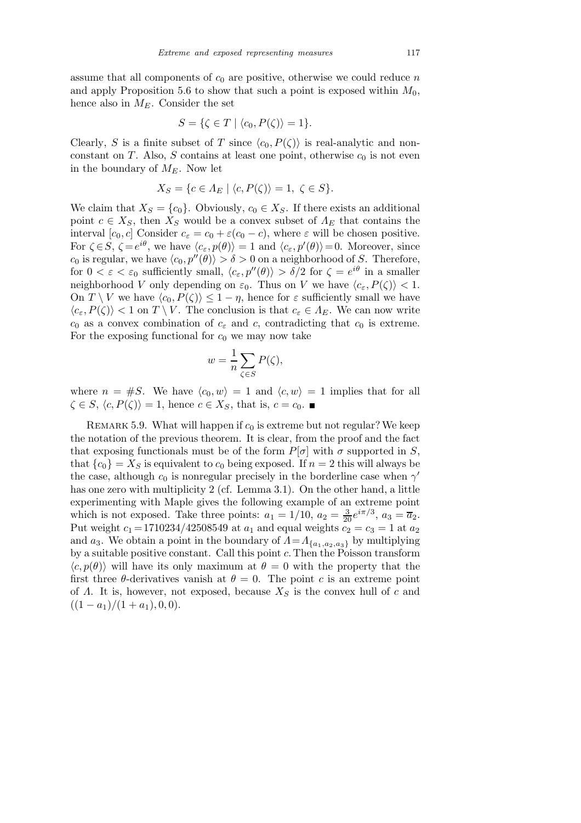assume that all components of  $c_0$  are positive, otherwise we could reduce  $n$ and apply Proposition 5.6 to show that such a point is exposed within  $M_0$ , hence also in  $M_E$ . Consider the set

$$
S = \{ \zeta \in T \mid \langle c_0, P(\zeta) \rangle = 1 \}.
$$

Clearly, S is a finite subset of T since  $\langle c_0, P(\zeta) \rangle$  is real-analytic and nonconstant on T. Also, S contains at least one point, otherwise  $c_0$  is not even in the boundary of  $M_E$ . Now let

$$
X_S = \{c \in \Lambda_E \mid \langle c, P(\zeta) \rangle = 1, \ \zeta \in S\}.
$$

We claim that  $X_S = \{c_0\}$ . Obviously,  $c_0 \in X_S$ . If there exists an additional point  $c \in X_S$ , then  $X_S$  would be a convex subset of  $\Lambda_E$  that contains the interval  $[c_0, c]$  Consider  $c_{\varepsilon} = c_0 + \varepsilon (c_0 - c)$ , where  $\varepsilon$  will be chosen positive. For  $\zeta \in S$ ,  $\zeta = e^{i\theta}$ , we have  $\langle c_{\varepsilon}, p(\theta) \rangle = 1$  and  $\langle c_{\varepsilon}, p'(\theta) \rangle = 0$ . Moreover, since  $c_0$  is regular, we have  $\langle c_0, p''(\theta) \rangle > \delta > 0$  on a neighborhood of S. Therefore, for  $0 < \varepsilon < \varepsilon_0$  sufficiently small,  $\langle c_{\varepsilon}, p''(\theta) \rangle > \delta/2$  for  $\zeta = e^{i\theta}$  in a smaller neighborhood V only depending on  $\varepsilon_0$ . Thus on V we have  $\langle c_{\varepsilon}, P(\zeta) \rangle < 1$ . On  $T \setminus V$  we have  $\langle c_0, P(\zeta) \rangle \leq 1 - \eta$ , hence for  $\varepsilon$  sufficiently small we have  $\langle c_{\varepsilon},P(\zeta)\rangle < 1$  on  $T \setminus V$ . The conclusion is that  $c_{\varepsilon} \in \Lambda_E$ . We can now write  $c_0$  as a convex combination of  $c_{\varepsilon}$  and c, contradicting that  $c_0$  is extreme. For the exposing functional for  $c_0$  we may now take

$$
w = \frac{1}{n} \sum_{\zeta \in S} P(\zeta),
$$

where  $n = \#S$ . We have  $\langle c_0, w \rangle = 1$  and  $\langle c, w \rangle = 1$  implies that for all  $\zeta \in S$ ,  $\langle c, P(\zeta) \rangle = 1$ , hence  $c \in X_S$ , that is,  $c = c_0$ .

REMARK 5.9. What will happen if  $c_0$  is extreme but not regular? We keep the notation of the previous theorem. It is clear, from the proof and the fact that exposing functionals must be of the form  $P[\sigma]$  with  $\sigma$  supported in S, that  ${c_0} = X_S$  is equivalent to  $c_0$  being exposed. If  $n = 2$  this will always be the case, although  $c_0$  is nonregular precisely in the borderline case when  $\gamma'$ has one zero with multiplicity 2 (cf. Lemma 3.1). On the other hand, a little experimenting with Maple gives the following example of an extreme point which is not exposed. Take three points:  $a_1 = 1/10$ ,  $a_2 = \frac{3}{20}e^{i\pi/3}$ ,  $a_3 = \overline{a}_2$ . Put weight  $c_1 = 1710234/42508549$  at  $a_1$  and equal weights  $c_2 = c_3 = 1$  at  $a_2$ and  $a_3$ . We obtain a point in the boundary of  $\Lambda = \Lambda_{\{a_1, a_2, a_3\}}$  by multiplying by a suitable positive constant. Call this point c. Then the Poisson transform  $\langle c, p(\theta) \rangle$  will have its only maximum at  $\theta = 0$  with the property that the first three  $\theta$ -derivatives vanish at  $\theta = 0$ . The point c is an extreme point of  $\Lambda$ . It is, however, not exposed, because  $X_S$  is the convex hull of c and  $((1 - a_1)/(1 + a_1), 0, 0).$